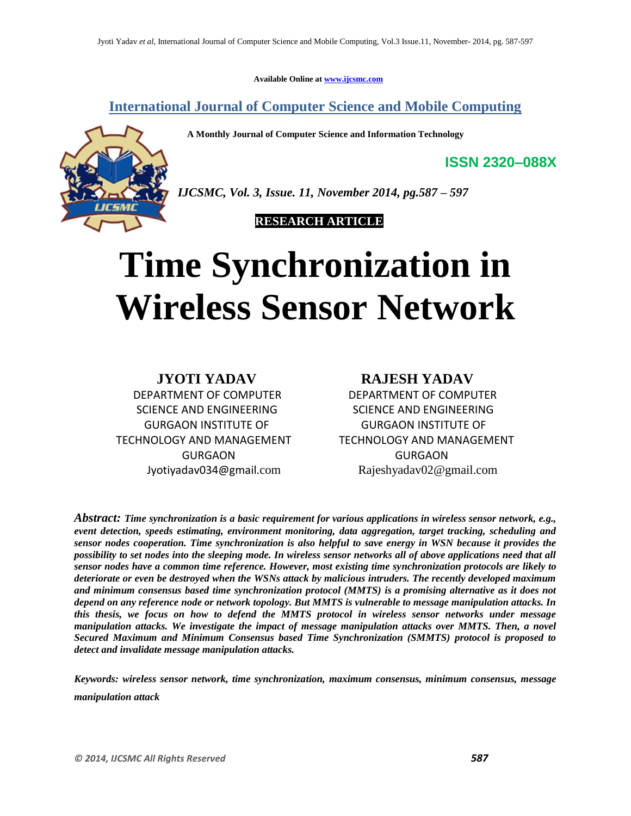**Available Online at www.ijcsmc.com**

**International Journal of Computer Science and Mobile Computing**

 **A Monthly Journal of Computer Science and Information Technology**

**ISSN 2320–088X**



*IJCSMC, Vol. 3, Issue. 11, November 2014, pg.587 – 597*

 **RESEARCH ARTICLE**

# **Time Synchronization in Wireless Sensor Network**

**JYOTI YADAV RAJESH YADAV** DEPARTMENT OF COMPUTER DEPARTMENT OF COMPUTER SCIENCE AND ENGINEERING SCIENCE AND ENGINEERING GURGAON INSTITUTE OF GURGAON INSTITUTE OF TECHNOLOGY AND MANAGEMENT TECHNOLOGY AND MANAGEMENT GURGAON GURGAON

Jyotiyadav034@gmail.com Rajeshyadav02@gmail.com

*Abstract: Time synchronization is a basic requirement for various applications in wireless sensor network, e.g., event detection, speeds estimating, environment monitoring, data aggregation, target tracking, scheduling and sensor nodes cooperation. Time synchronization is also helpful to save energy in WSN because it provides the possibility to set nodes into the sleeping mode. In wireless sensor networks all of above applications need that all sensor nodes have a common time reference. However, most existing time synchronization protocols are likely to deteriorate or even be destroyed when the WSNs attack by malicious intruders. The recently developed maximum and minimum consensus based time synchronization protocol (MMTS) is a promising alternative as it does not depend on any reference node or network topology. But MMTS is vulnerable to message manipulation attacks. In this thesis, we focus on how to defend the MMTS protocol in wireless sensor networks under message manipulation attacks. We investigate the impact of message manipulation attacks over MMTS. Then, a novel Secured Maximum and Minimum Consensus based Time Synchronization (SMMTS) protocol is proposed to detect and invalidate message manipulation attacks.*

*Keywords: wireless sensor network, time synchronization, maximum consensus, minimum consensus, message manipulation attack*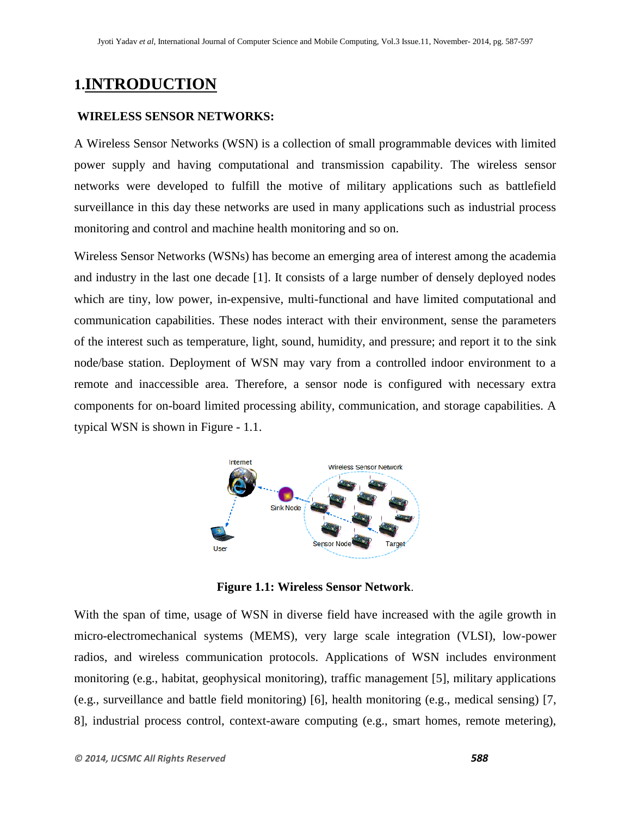# **1.INTRODUCTION**

#### **WIRELESS SENSOR NETWORKS:**

A Wireless Sensor Networks (WSN) is a collection of small programmable devices with limited power supply and having computational and transmission capability. The wireless sensor networks were developed to fulfill the motive of military applications such as battlefield surveillance in this day these networks are used in many applications such as industrial process monitoring and control and machine health monitoring and so on.

Wireless Sensor Networks (WSNs) has become an emerging area of interest among the academia and industry in the last one decade [1]. It consists of a large number of densely deployed nodes which are tiny, low power, in-expensive, multi-functional and have limited computational and communication capabilities. These nodes interact with their environment, sense the parameters of the interest such as temperature, light, sound, humidity, and pressure; and report it to the sink node/base station. Deployment of WSN may vary from a controlled indoor environment to a remote and inaccessible area. Therefore, a sensor node is configured with necessary extra components for on-board limited processing ability, communication, and storage capabilities. A typical WSN is shown in Figure - 1.1.



**Figure 1.1: Wireless Sensor Network**.

With the span of time, usage of WSN in diverse field have increased with the agile growth in micro-electromechanical systems (MEMS), very large scale integration (VLSI), low-power radios, and wireless communication protocols. Applications of WSN includes environment monitoring (e.g., habitat, geophysical monitoring), traffic management [5], military applications (e.g., surveillance and battle field monitoring) [6], health monitoring (e.g., medical sensing) [7, 8], industrial process control, context-aware computing (e.g., smart homes, remote metering),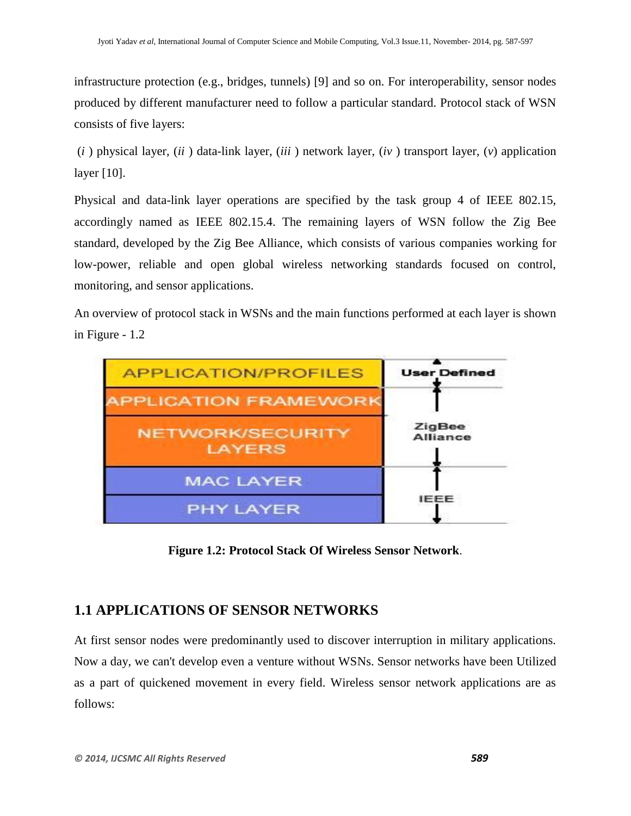infrastructure protection (e.g., bridges, tunnels) [9] and so on. For interoperability, sensor nodes produced by different manufacturer need to follow a particular standard. Protocol stack of WSN consists of five layers:

(*i* ) physical layer, (*ii* ) data-link layer, (*iii* ) network layer, (*iv* ) transport layer, (*v*) application layer [10].

Physical and data-link layer operations are specified by the task group 4 of IEEE 802.15, accordingly named as IEEE 802.15.4. The remaining layers of WSN follow the Zig Bee standard, developed by the Zig Bee Alliance, which consists of various companies working for low-power, reliable and open global wireless networking standards focused on control, monitoring, and sensor applications.

An overview of protocol stack in WSNs and the main functions performed at each layer is shown in Figure - 1.2



**Figure 1.2: Protocol Stack Of Wireless Sensor Network**.

## **1.1 APPLICATIONS OF SENSOR NETWORKS**

At first sensor nodes were predominantly used to discover interruption in military applications. Now a day, we can't develop even a venture without WSNs. Sensor networks have been Utilized as a part of quickened movement in every field. Wireless sensor network applications are as follows: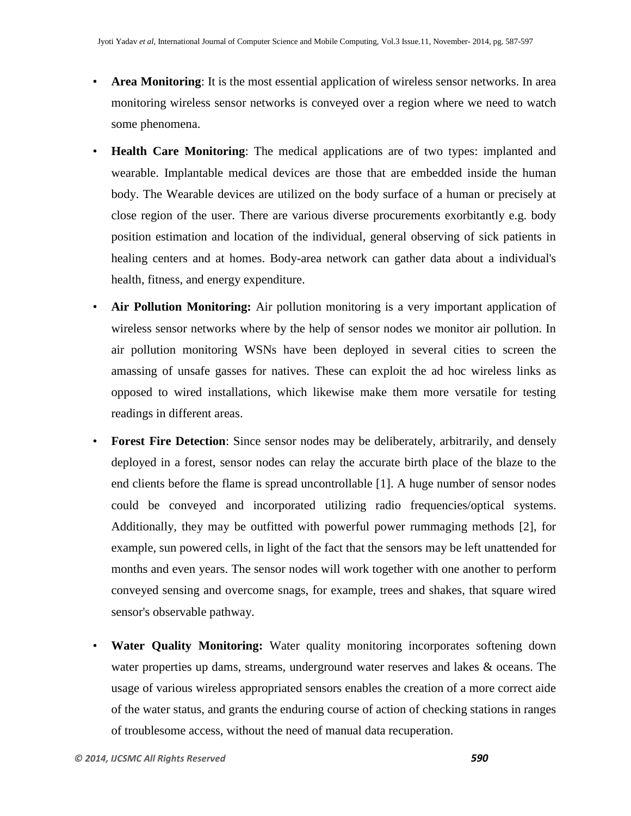- **Area Monitoring**: It is the most essential application of wireless sensor networks. In area monitoring wireless sensor networks is conveyed over a region where we need to watch some phenomena.
- **Health Care Monitoring**: The medical applications are of two types: implanted and wearable. Implantable medical devices are those that are embedded inside the human body. The Wearable devices are utilized on the body surface of a human or precisely at close region of the user. There are various diverse procurements exorbitantly e.g. body position estimation and location of the individual, general observing of sick patients in healing centers and at homes. Body-area network can gather data about a individual's health, fitness, and energy expenditure.
- **Air Pollution Monitoring:** Air pollution monitoring is a very important application of wireless sensor networks where by the help of sensor nodes we monitor air pollution. In air pollution monitoring WSNs have been deployed in several cities to screen the amassing of unsafe gasses for natives. These can exploit the ad hoc wireless links as opposed to wired installations, which likewise make them more versatile for testing readings in different areas.
- **Forest Fire Detection:** Since sensor nodes may be deliberately, arbitrarily, and densely deployed in a forest, sensor nodes can relay the accurate birth place of the blaze to the end clients before the flame is spread uncontrollable [1]. A huge number of sensor nodes could be conveyed and incorporated utilizing radio frequencies/optical systems. Additionally, they may be outfitted with powerful power rummaging methods [2], for example, sun powered cells, in light of the fact that the sensors may be left unattended for months and even years. The sensor nodes will work together with one another to perform conveyed sensing and overcome snags, for example, trees and shakes, that square wired sensor's observable pathway.
- **Water Quality Monitoring:** Water quality monitoring incorporates softening down water properties up dams, streams, underground water reserves and lakes & oceans. The usage of various wireless appropriated sensors enables the creation of a more correct aide of the water status, and grants the enduring course of action of checking stations in ranges of troublesome access, without the need of manual data recuperation.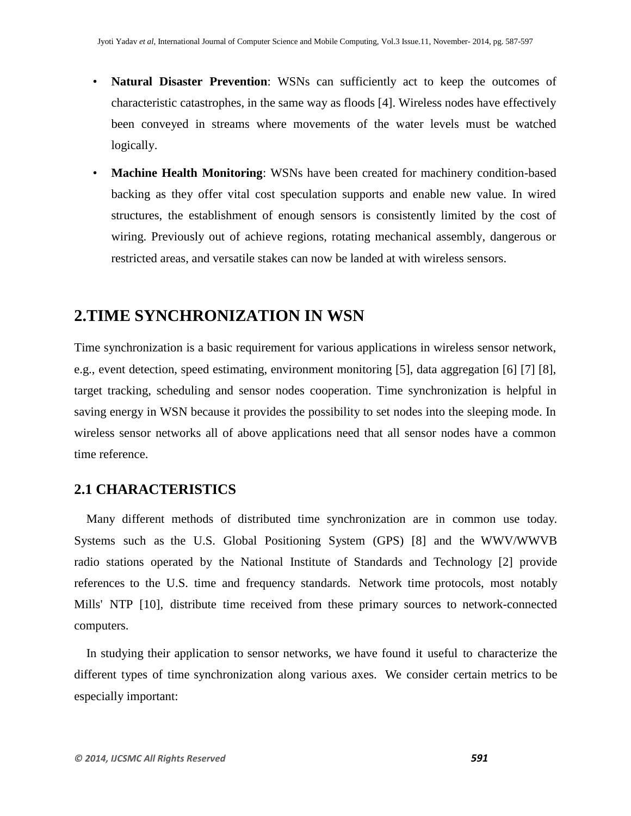- **Natural Disaster Prevention**: WSNs can sufficiently act to keep the outcomes of characteristic catastrophes, in the same way as floods [4]. Wireless nodes have effectively been conveyed in streams where movements of the water levels must be watched logically.
- **Machine Health Monitoring**: WSNs have been created for machinery condition-based backing as they offer vital cost speculation supports and enable new value. In wired structures, the establishment of enough sensors is consistently limited by the cost of wiring. Previously out of achieve regions, rotating mechanical assembly, dangerous or restricted areas, and versatile stakes can now be landed at with wireless sensors.

# **2.TIME SYNCHRONIZATION IN WSN**

Time synchronization is a basic requirement for various applications in wireless sensor network, e.g., event detection, speed estimating, environment monitoring [5], data aggregation [6] [7] [8], target tracking, scheduling and sensor nodes cooperation. Time synchronization is helpful in saving energy in WSN because it provides the possibility to set nodes into the sleeping mode. In wireless sensor networks all of above applications need that all sensor nodes have a common time reference.

#### **2.1 CHARACTERISTICS**

Many different methods of distributed time synchronization are in common use today. Systems such as the U.S. Global Positioning System (GPS) [8] and the WWV/WWVB radio stations operated by the National Institute of Standards and Technology [2] provide references to the U.S. time and frequency standards. Network time protocols, most notably Mills' NTP [10], distribute time received from these primary sources to network-connected computers.

In studying their application to sensor networks, we have found it useful to characterize the different types of time synchronization along various axes. We consider certain metrics to be especially important: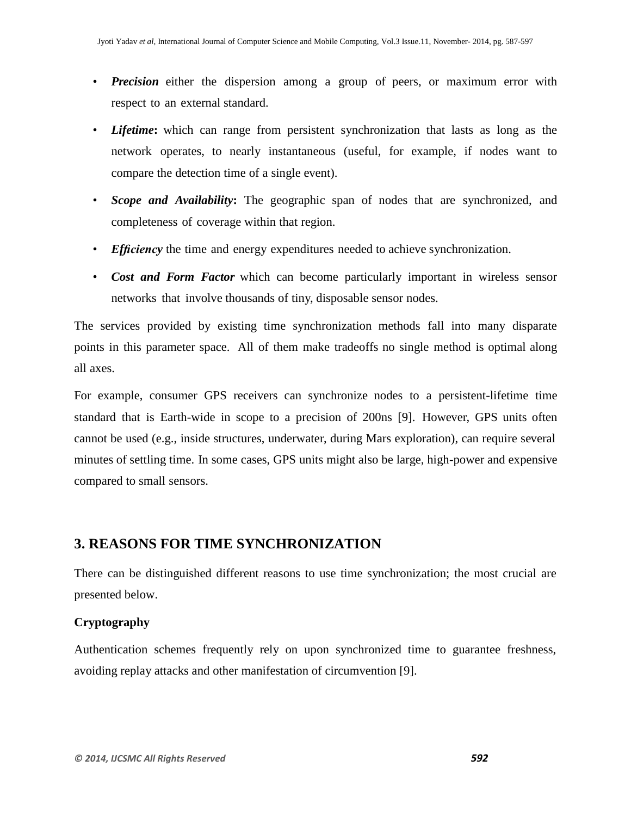- *Precision* either the dispersion among a group of peers, or maximum error with respect to an external standard.
- *Lifetime***:** which can range from persistent synchronization that lasts as long as the network operates, to nearly instantaneous (useful, for example, if nodes want to compare the detection time of a single event).
- *Scope and Availability***:** The geographic span of nodes that are synchronized, and completeness of coverage within that region.
- *Efficiency* the time and energy expenditures needed to achieve synchronization.
- *Cost and Form Factor* which can become particularly important in wireless sensor networks that involve thousands of tiny, disposable sensor nodes.

The services provided by existing time synchronization methods fall into many disparate points in this parameter space. All of them make tradeoffs no single method is optimal along all axes.

For example, consumer GPS receivers can synchronize nodes to a persistent-lifetime time standard that is Earth-wide in scope to a precision of 200ns [9]. However, GPS units often cannot be used (e.g., inside structures, underwater, during Mars exploration), can require several minutes of settling time. In some cases, GPS units might also be large, high-power and expensive compared to small sensors.

### **3. REASONS FOR TIME SYNCHRONIZATION**

There can be distinguished different reasons to use time synchronization; the most crucial are presented below.

#### **Cryptography**

Authentication schemes frequently rely on upon synchronized time to guarantee freshness, avoiding replay attacks and other manifestation of circumvention [9].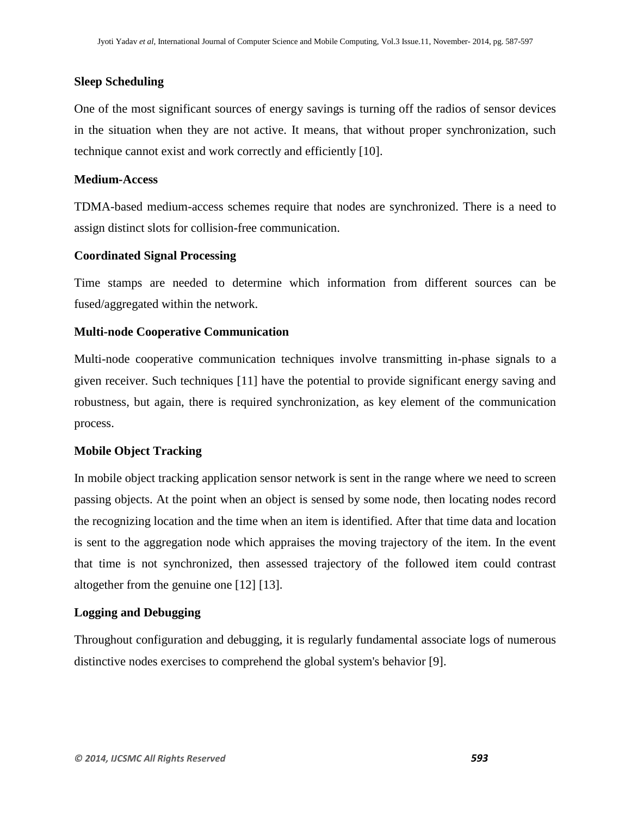#### **Sleep Scheduling**

One of the most significant sources of energy savings is turning off the radios of sensor devices in the situation when they are not active. It means, that without proper synchronization, such technique cannot exist and work correctly and efficiently [10].

#### **Medium-Access**

TDMA-based medium-access schemes require that nodes are synchronized. There is a need to assign distinct slots for collision-free communication.

#### **Coordinated Signal Processing**

Time stamps are needed to determine which information from different sources can be fused/aggregated within the network.

#### **Multi-node Cooperative Communication**

Multi-node cooperative communication techniques involve transmitting in-phase signals to a given receiver. Such techniques [11] have the potential to provide significant energy saving and robustness, but again, there is required synchronization, as key element of the communication process.

#### **Mobile Object Tracking**

In mobile object tracking application sensor network is sent in the range where we need to screen passing objects. At the point when an object is sensed by some node, then locating nodes record the recognizing location and the time when an item is identified. After that time data and location is sent to the aggregation node which appraises the moving trajectory of the item. In the event that time is not synchronized, then assessed trajectory of the followed item could contrast altogether from the genuine one [12] [13].

#### **Logging and Debugging**

Throughout configuration and debugging, it is regularly fundamental associate logs of numerous distinctive nodes exercises to comprehend the global system's behavior [9].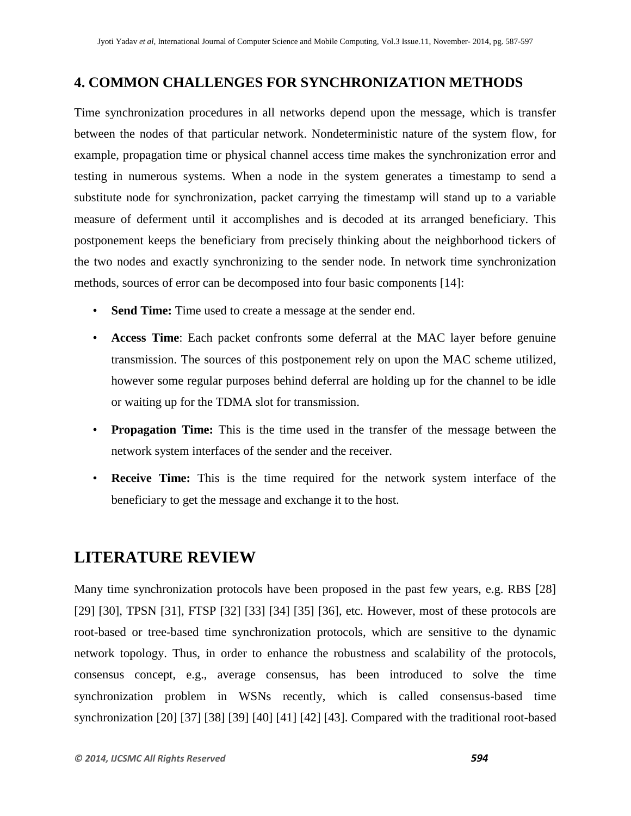## **4. COMMON CHALLENGES FOR SYNCHRONIZATION METHODS**

Time synchronization procedures in all networks depend upon the message, which is transfer between the nodes of that particular network. Nondeterministic nature of the system flow, for example, propagation time or physical channel access time makes the synchronization error and testing in numerous systems. When a node in the system generates a timestamp to send a substitute node for synchronization, packet carrying the timestamp will stand up to a variable measure of deferment until it accomplishes and is decoded at its arranged beneficiary. This postponement keeps the beneficiary from precisely thinking about the neighborhood tickers of the two nodes and exactly synchronizing to the sender node. In network time synchronization methods, sources of error can be decomposed into four basic components [14]:

- **Send Time:** Time used to create a message at the sender end.
- **Access Time**: Each packet confronts some deferral at the MAC layer before genuine transmission. The sources of this postponement rely on upon the MAC scheme utilized, however some regular purposes behind deferral are holding up for the channel to be idle or waiting up for the TDMA slot for transmission.
- **Propagation Time:** This is the time used in the transfer of the message between the network system interfaces of the sender and the receiver.
- **Receive Time:** This is the time required for the network system interface of the beneficiary to get the message and exchange it to the host.

# **LITERATURE REVIEW**

Many time synchronization protocols have been proposed in the past few years, e.g. RBS [28] [29] [30], TPSN [31], FTSP [32] [33] [34] [35] [36], etc. However, most of these protocols are root-based or tree-based time synchronization protocols, which are sensitive to the dynamic network topology. Thus, in order to enhance the robustness and scalability of the protocols, consensus concept, e.g., average consensus, has been introduced to solve the time synchronization problem in WSNs recently, which is called consensus-based time synchronization [20] [37] [38] [39] [40] [41] [42] [43]. Compared with the traditional root-based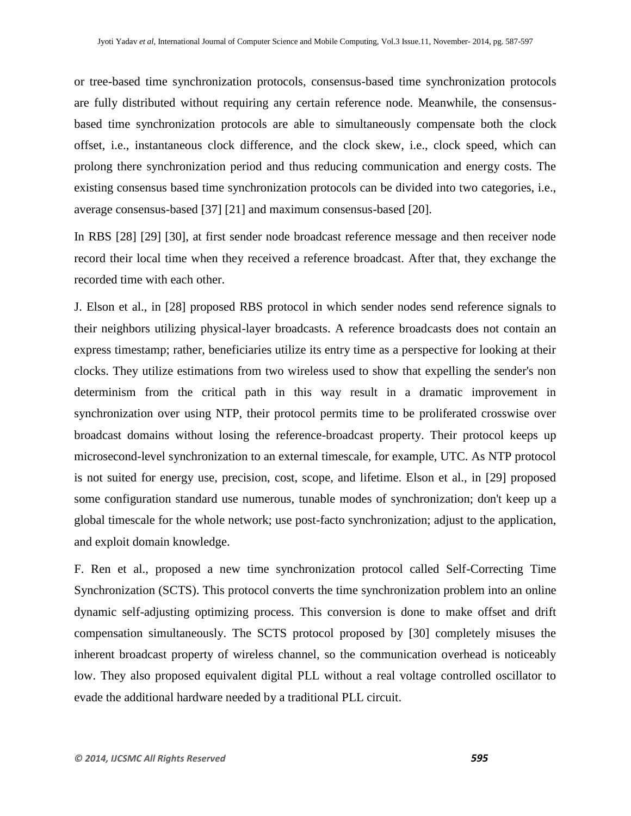or tree-based time synchronization protocols, consensus-based time synchronization protocols are fully distributed without requiring any certain reference node. Meanwhile, the consensusbased time synchronization protocols are able to simultaneously compensate both the clock offset, i.e., instantaneous clock difference, and the clock skew, i.e., clock speed, which can prolong there synchronization period and thus reducing communication and energy costs. The existing consensus based time synchronization protocols can be divided into two categories, i.e., average consensus-based [37] [21] and maximum consensus-based [20].

In RBS [28] [29] [30], at first sender node broadcast reference message and then receiver node record their local time when they received a reference broadcast. After that, they exchange the recorded time with each other.

J. Elson et al., in [28] proposed RBS protocol in which sender nodes send reference signals to their neighbors utilizing physical-layer broadcasts. A reference broadcasts does not contain an express timestamp; rather, beneficiaries utilize its entry time as a perspective for looking at their clocks. They utilize estimations from two wireless used to show that expelling the sender's non determinism from the critical path in this way result in a dramatic improvement in synchronization over using NTP, their protocol permits time to be proliferated crosswise over broadcast domains without losing the reference-broadcast property. Their protocol keeps up microsecond-level synchronization to an external timescale, for example, UTC. As NTP protocol is not suited for energy use, precision, cost, scope, and lifetime. Elson et al., in [29] proposed some configuration standard use numerous, tunable modes of synchronization; don't keep up a global timescale for the whole network; use post-facto synchronization; adjust to the application, and exploit domain knowledge.

F. Ren et al., proposed a new time synchronization protocol called Self-Correcting Time Synchronization (SCTS). This protocol converts the time synchronization problem into an online dynamic self-adjusting optimizing process. This conversion is done to make offset and drift compensation simultaneously. The SCTS protocol proposed by [30] completely misuses the inherent broadcast property of wireless channel, so the communication overhead is noticeably low. They also proposed equivalent digital PLL without a real voltage controlled oscillator to evade the additional hardware needed by a traditional PLL circuit.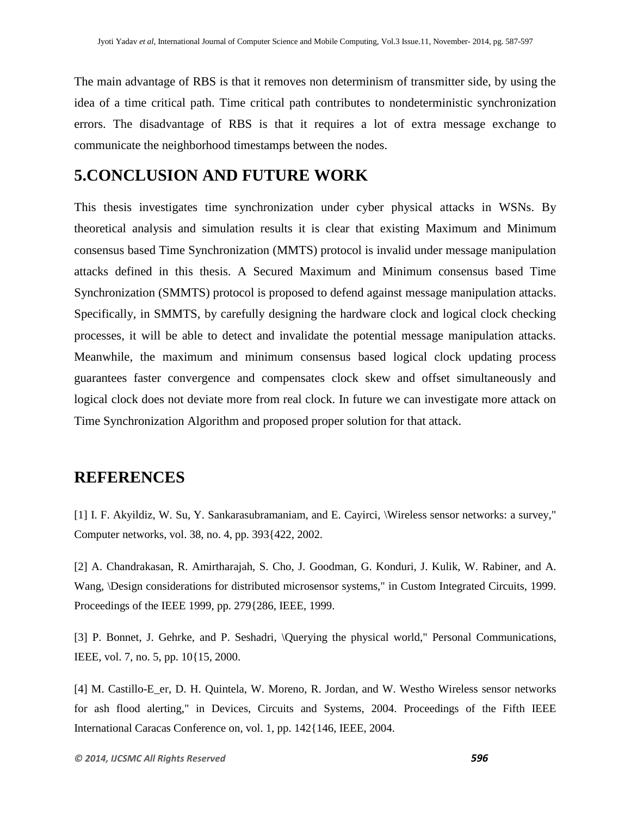The main advantage of RBS is that it removes non determinism of transmitter side, by using the idea of a time critical path. Time critical path contributes to nondeterministic synchronization errors. The disadvantage of RBS is that it requires a lot of extra message exchange to communicate the neighborhood timestamps between the nodes.

# **5.CONCLUSION AND FUTURE WORK**

This thesis investigates time synchronization under cyber physical attacks in WSNs. By theoretical analysis and simulation results it is clear that existing Maximum and Minimum consensus based Time Synchronization (MMTS) protocol is invalid under message manipulation attacks defined in this thesis. A Secured Maximum and Minimum consensus based Time Synchronization (SMMTS) protocol is proposed to defend against message manipulation attacks. Specifically, in SMMTS, by carefully designing the hardware clock and logical clock checking processes, it will be able to detect and invalidate the potential message manipulation attacks. Meanwhile, the maximum and minimum consensus based logical clock updating process guarantees faster convergence and compensates clock skew and offset simultaneously and logical clock does not deviate more from real clock. In future we can investigate more attack on Time Synchronization Algorithm and proposed proper solution for that attack.

## **REFERENCES**

[1] I. F. Akyildiz, W. Su, Y. Sankarasubramaniam, and E. Cayirci, \Wireless sensor networks: a survey," Computer networks, vol. 38, no. 4, pp. 393{422, 2002.

[2] A. Chandrakasan, R. Amirtharajah, S. Cho, J. Goodman, G. Konduri, J. Kulik, W. Rabiner, and A. Wang, \Design considerations for distributed microsensor systems," in Custom Integrated Circuits, 1999. Proceedings of the IEEE 1999, pp. 279{286, IEEE, 1999.

[3] P. Bonnet, J. Gehrke, and P. Seshadri, \Querying the physical world," Personal Communications, IEEE, vol. 7, no. 5, pp. 10{15, 2000.

[4] M. Castillo-E\_er, D. H. Quintela, W. Moreno, R. Jordan, and W. Westho Wireless sensor networks for ash flood alerting," in Devices, Circuits and Systems, 2004. Proceedings of the Fifth IEEE International Caracas Conference on, vol. 1, pp. 142{146, IEEE, 2004.